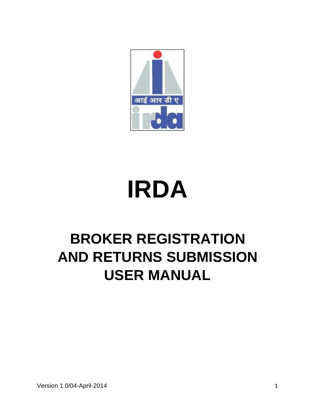

# **IRDA**

# **BROKER REGISTRATION AND RETURNS SUBMISSION USER MANUAL**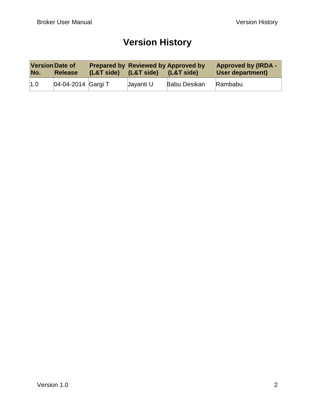### **Version History**

| <b>Version Date of</b><br>No. | Release            | $ $ (L&T side) | $ $ (L&T side) | <b>Prepared by Reviewed by Approved by</b><br>$ $ (L&T side) | <b>Approved by (IRDA -</b><br><b>User department)</b> |
|-------------------------------|--------------------|----------------|----------------|--------------------------------------------------------------|-------------------------------------------------------|
| 1.0                           | 04-04-2014 Gargi T |                | Javanti U      | Babu Desikan                                                 | Rambabu                                               |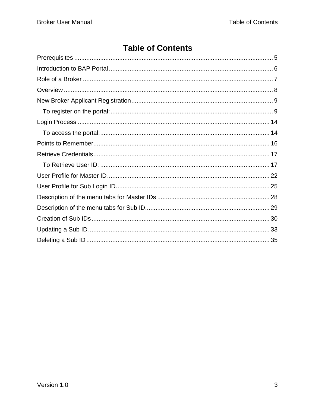### **Table of Contents**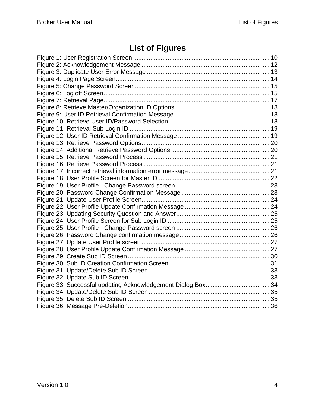### **List of Figures**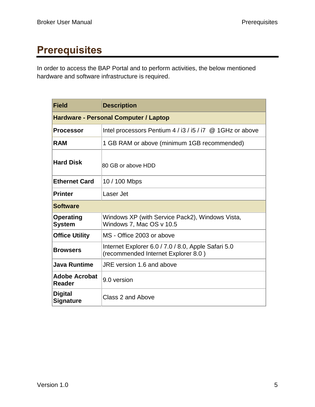# <span id="page-4-0"></span>**Prerequisites**

In order to access the BAP Portal and to perform activities, the below mentioned hardware and software infrastructure is required.

| <b>Field</b>                       | <b>Description</b>                                                                         |  |  |  |  |
|------------------------------------|--------------------------------------------------------------------------------------------|--|--|--|--|
|                                    | <b>Hardware - Personal Computer / Laptop</b>                                               |  |  |  |  |
| <b>Processor</b>                   | Intel processors Pentium $4/13/15/17$ @ 1GHz or above                                      |  |  |  |  |
| <b>RAM</b>                         | 1 GB RAM or above (minimum 1GB recommended)                                                |  |  |  |  |
| <b>Hard Disk</b>                   | 80 GB or above HDD                                                                         |  |  |  |  |
| <b>Ethernet Card</b>               | 10 / 100 Mbps                                                                              |  |  |  |  |
| <b>Printer</b>                     | Laser Jet                                                                                  |  |  |  |  |
| <b>Software</b>                    |                                                                                            |  |  |  |  |
| Operating<br><b>System</b>         | Windows XP (with Service Pack2), Windows Vista,<br>Windows 7, Mac OS v 10.5                |  |  |  |  |
| <b>Office Utility</b>              | MS - Office 2003 or above                                                                  |  |  |  |  |
| <b>Browsers</b>                    | Internet Explorer 6.0 / 7.0 / 8.0, Apple Safari 5.0<br>(recommended Internet Explorer 8.0) |  |  |  |  |
| <b>Java Runtime</b>                | JRE version 1.6 and above                                                                  |  |  |  |  |
| Adobe Acrobat<br><b>Reader</b>     | 9.0 version                                                                                |  |  |  |  |
| <b>Digital</b><br><b>Signature</b> | Class 2 and Above                                                                          |  |  |  |  |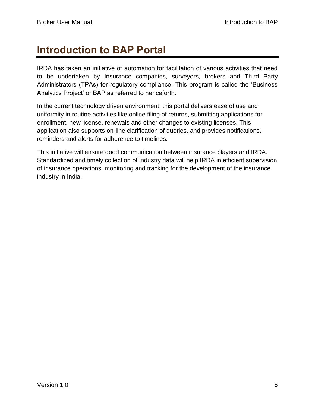# <span id="page-5-0"></span>**Introduction to BAP Portal**

IRDA has taken an initiative of automation for facilitation of various activities that need to be undertaken by Insurance companies, surveyors, brokers and Third Party Administrators (TPAs) for regulatory compliance. This program is called the "Business Analytics Project" or BAP as referred to henceforth.

In the current technology driven environment, this portal delivers ease of use and uniformity in routine activities like online filing of returns, submitting applications for enrollment, new license, renewals and other changes to existing licenses. This application also supports on-line clarification of queries, and provides notifications, reminders and alerts for adherence to timelines.

This initiative will ensure good communication between insurance players and IRDA. Standardized and timely collection of industry data will help IRDA in efficient supervision of insurance operations, monitoring and tracking for the development of the insurance industry in India.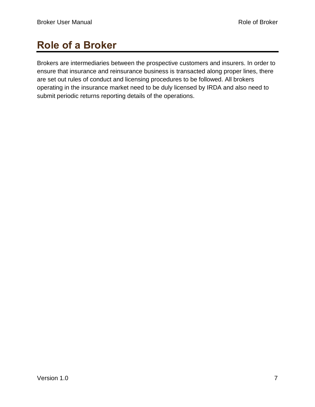# <span id="page-6-0"></span>**Role of a Broker**

Brokers are intermediaries between the prospective customers and insurers. In order to ensure that insurance and reinsurance business is transacted along proper lines, there are set out rules of conduct and licensing procedures to be followed. All brokers operating in the insurance market need to be duly licensed by IRDA and also need to submit periodic returns reporting details of the operations.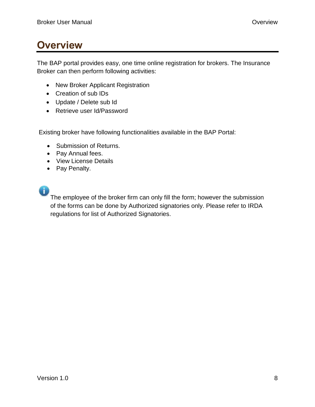# <span id="page-7-0"></span>**Overview**

The BAP portal provides easy, one time online registration for brokers. The Insurance Broker can then perform following activities:

- New Broker Applicant Registration
- Creation of sub IDs
- Update / Delete sub Id
- Retrieve user Id/Password

Existing broker have following functionalities available in the BAP Portal:

- Submission of Returns.
- Pay Annual fees.
- View License Details
- Pay Penalty.
- 

The employee of the broker firm can only fill the form; however the submission of the forms can be done by Authorized signatories only. Please refer to IRDA regulations for list of Authorized Signatories.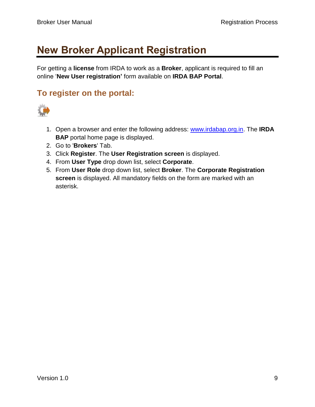# <span id="page-8-0"></span>**New Broker Applicant Registration**

For getting a **license** from IRDA to work as a **Broker**, applicant is required to fill an online "**New User registration'** form available on **IRDA BAP Portal**.

### <span id="page-8-1"></span>**To register on the portal:**



- 1. Open a browser and enter the following address: [www.irdabap.org.in.](http://hydlntiqep01v.irdaonline.org:50000/irj/portal/anonymous) The **IRDA BAP** portal home page is displayed.
- 2. Go to '**Brokers**' Tab.
- 3. Click **Register**. The **User Registration screen** is displayed.
- 4. From **User Type** drop down list, select **Corporate**.
- 5. From **User Role** drop down list, select **Broker**. The **Corporate Registration screen** is displayed. All mandatory fields on the form are marked with an asterisk.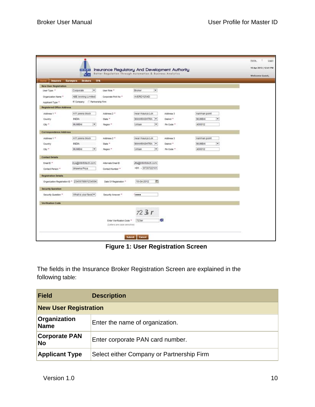|                               | <b>AND AND REAL</b>                            | Insurance Regulatory And Development Authority             |                                    |             |                          | 10 Apr 2013   12:41 PM |
|-------------------------------|------------------------------------------------|------------------------------------------------------------|------------------------------------|-------------|--------------------------|------------------------|
|                               | 80                                             | Better Regulation Through Automotion & Business Analytics  |                                    |             |                          | <b>Welcome Guest</b>   |
|                               | Insurers Surveyors Brokers TPA                 |                                                            |                                    |             |                          |                        |
| New User Registration         |                                                |                                                            |                                    |             |                          |                        |
| User Type: "                  | $\bullet$<br>Corporate                         | User Role **                                               | $\overline{\phantom{a}}$<br>Broker |             |                          |                        |
| Organization Name **          | ABE broking Limited                            | Corporate PAN No. 4                                        | AVERD1254D                         |             |                          |                        |
| Applicant Type *              | * Company C Partnership Firm                   |                                                            |                                    |             |                          |                        |
| Registered Office Address     |                                                |                                                            |                                    |             |                          |                        |
| Address 1 "                   | A11.arena block                                | Address 2 **                                               | near maurya Lok                    | Address 3   | nariman point            |                        |
| Country                       | <b>INDIA</b>                                   | State *                                                    | MAHARASHITRA -                     | District "  | $\blacksquare$<br>MUMBAI |                        |
| City."                        | $\left  \bullet \right $<br>MUMBAI             | Region =                                                   | Urban<br>œ.                        | Pin Code *  | 400012                   |                        |
| <b>Correspondence Address</b> |                                                |                                                            |                                    |             |                          |                        |
| Address 1 *                   | A11, arena block                               | Address 2 **                                               | near maurya Lok                    | Address 3   | nariman point            |                        |
| Country                       | INDIA                                          | State *                                                    | <b>MAHARASHTRA -</b>               | District ** | ٠<br>MUMBAI              |                        |
| $xy$ .                        | $\bullet$<br>MUMBAI                            | Region =                                                   | ×<br>Urban                         | Pin Code *  | 400012                   |                        |
| <b>Contact Betails</b>        |                                                |                                                            |                                    |             |                          |                        |
| Email D <sup>+</sup>          | riya@intinfotech.com                           | Alternate Email D                                          | diagented tech com                 |             |                          |                        |
| Contact Person *              | bhawna Priya                                   | Contact Number **                                          | +91 - 9730722101                   |             |                          |                        |
| <b>Registration Details</b>   |                                                |                                                            |                                    |             |                          |                        |
|                               | Organization Registration D = 234567890123456K | Date Of Registration."                                     | 面<br>10-04-2012                    |             |                          |                        |
| <b>Security Question</b>      |                                                |                                                            |                                    |             |                          |                        |
| Security Question **          | What is your favor                             | Security Answer *                                          |                                    |             |                          |                        |
| <b>Verification Code</b>      |                                                |                                                            |                                    |             |                          |                        |
|                               |                                                |                                                            | 723r                               |             |                          |                        |
|                               |                                                |                                                            |                                    |             |                          |                        |
|                               |                                                | Enter Verification Code *<br>(Letters are case percettive) | 723er                              | a           |                          |                        |

**Figure 1: User Registration Screen**

The fields in the Insurance Broker Registration Screen are explained in the following table:

| <b>Field</b>                      | <b>Description</b>                        |  |  |
|-----------------------------------|-------------------------------------------|--|--|
| <b>New User Registration</b>      |                                           |  |  |
| Organization<br><b>Name</b>       | Enter the name of organization.           |  |  |
| <b>Corporate PAN</b><br><b>No</b> | Enter corporate PAN card number.          |  |  |
| <b>Applicant Type</b>             | Select either Company or Partnership Firm |  |  |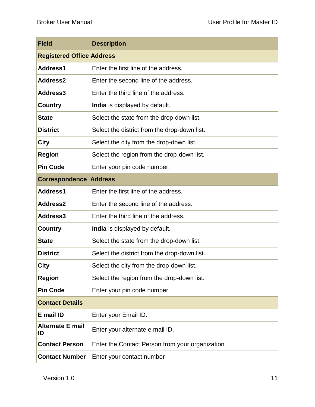| <b>Field</b>                                                | <b>Description</b>                              |  |  |
|-------------------------------------------------------------|-------------------------------------------------|--|--|
| <b>Registered Office Address</b>                            |                                                 |  |  |
| Address1                                                    | Enter the first line of the address.            |  |  |
| Address2<br>Enter the second line of the address.           |                                                 |  |  |
| Address3                                                    | Enter the third line of the address.            |  |  |
| <b>Country</b>                                              | India is displayed by default.                  |  |  |
| <b>State</b>                                                | Select the state from the drop-down list.       |  |  |
| <b>District</b>                                             | Select the district from the drop-down list.    |  |  |
| <b>City</b>                                                 | Select the city from the drop-down list.        |  |  |
| <b>Region</b>                                               | Select the region from the drop-down list.      |  |  |
| <b>Pin Code</b>                                             | Enter your pin code number.                     |  |  |
| <b>Correspondence Address</b>                               |                                                 |  |  |
| Address1<br>Enter the first line of the address.            |                                                 |  |  |
| Address2<br>Enter the second line of the address.           |                                                 |  |  |
| Address3<br>Enter the third line of the address.            |                                                 |  |  |
| <b>Country</b><br>India is displayed by default.            |                                                 |  |  |
| <b>State</b>                                                | Select the state from the drop-down list.       |  |  |
| <b>District</b>                                             | Select the district from the drop-down list.    |  |  |
| <b>City</b>                                                 | Select the city from the drop-down list.        |  |  |
| Select the region from the drop-down list.<br><b>Region</b> |                                                 |  |  |
| <b>Pin Code</b>                                             | Enter your pin code number.                     |  |  |
| <b>Contact Details</b>                                      |                                                 |  |  |
| E mail ID<br>Enter your Email ID.                           |                                                 |  |  |
| <b>Alternate E mail</b><br>ID                               | Enter your alternate e mail ID.                 |  |  |
| <b>Contact Person</b>                                       | Enter the Contact Person from your organization |  |  |
| <b>Contact Number</b>                                       | Enter your contact number                       |  |  |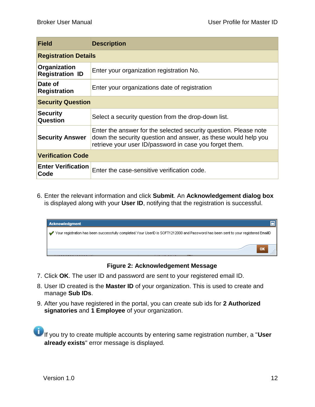| <b>Field</b>                           | <b>Description</b>                                                                                                                                                                            |  |  |
|----------------------------------------|-----------------------------------------------------------------------------------------------------------------------------------------------------------------------------------------------|--|--|
| <b>Registration Details</b>            |                                                                                                                                                                                               |  |  |
| Organization<br><b>Registration ID</b> | Enter your organization registration No.                                                                                                                                                      |  |  |
| Date of<br><b>Registration</b>         | Enter your organizations date of registration                                                                                                                                                 |  |  |
| <b>Security Question</b>               |                                                                                                                                                                                               |  |  |
| <b>Security</b><br>Question            | Select a security question from the drop-down list.                                                                                                                                           |  |  |
| <b>Security Answer</b>                 | Enter the answer for the selected security question. Please note<br>down the security question and answer, as these would help you<br>retrieve your user ID/password in case you forget them. |  |  |
| <b>Verification Code</b>               |                                                                                                                                                                                               |  |  |
| <b>Enter Verification</b><br>Code      | Enter the case-sensitive verification code.                                                                                                                                                   |  |  |

6. Enter the relevant information and click **Submit**. An **Acknowledgement dialog box** is displayed along with your **User ID**, notifying that the registration is successful.



#### **Figure 2: Acknowledgement Message**

- <span id="page-11-0"></span>7. Click **OK**. The user ID and password are sent to your registered email ID.
- 8. User ID created is the **Master ID** of your organization. This is used to create and manage **Sub IDs**.
- 9. After you have registered in the portal, you can create sub ids for **2 Authorized signatories** and **1 Employee** of your organization.

If you try to create multiple accounts by entering same registration number, a "**User already exists**" error message is displayed*.*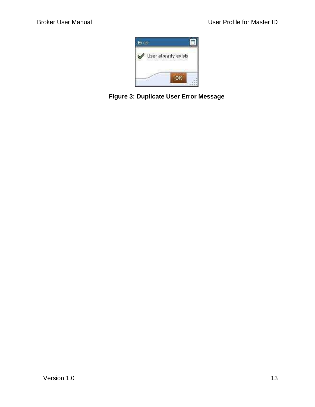

<span id="page-12-0"></span>**Figure 3: Duplicate User Error Message**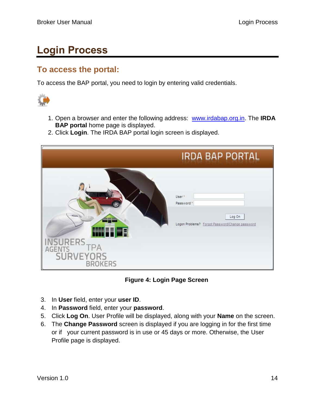# <span id="page-13-0"></span>**Login Process**

### <span id="page-13-1"></span>**To access the portal:**

To access the BAP portal, you need to login by entering valid credentials.



- 1. Open a browser and enter the following address: [www.irdabap.org.in.](http://hydlntiqep01v.irdaonline.org:50000/irj/portal/anonymous) The **IRDA BAP portal** home page is displayed.
- 2. Click **Login**. The IRDA BAP portal login screen is displayed.

|                                                                                                 | <b>IRDA BAP PORTAL</b>                                                                                  |
|-------------------------------------------------------------------------------------------------|---------------------------------------------------------------------------------------------------------|
| $\sim$<br><b>MART ES</b><br><b>SURERS</b><br>I PA<br>AGEN<br><b>SURVEYORS</b><br><b>BROKERS</b> | User <sup>*</sup><br>Password <sup>*</sup><br>Log On<br>Logon Problems? Forgot Password/Change password |

**Figure 4: Login Page Screen**

- <span id="page-13-2"></span>3. In **User** field, enter your **user ID**.
- 4. In **Password** field, enter your **password**.
- 5. Click **Log On**. User Profile will be displayed, along with your **Name** on the screen.
- 6. The **Change Password** screen is displayed if you are logging in for the first time or if your current password is in use or 45 days or more. Otherwise, the User Profile page is displayed.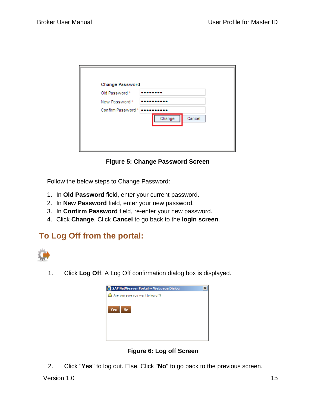| <b>Change Password</b>                |
|---------------------------------------|
| Old Password *                        |
| New Password*                         |
| Confirm Password*<br>Change<br>Cancel |

**Figure 5: Change Password Screen**

<span id="page-14-0"></span>Follow the below steps to Change Password:

- 1. In **Old Password** field, enter your current password.
- 2. In **New Password** field, enter your new password.
- 3. In **Confirm Password** field, re-enter your new password.
- 4. Click **Change**. Click **Cancel** to go back to the **login screen**.

### **To Log Off from the portal:**



1. Click **Log Off**. A Log Off confirmation dialog box is displayed.



**Figure 6: Log off Screen**

<span id="page-14-1"></span>2. Click "**Yes**" to log out. Else, Click "**No**" to go back to the previous screen.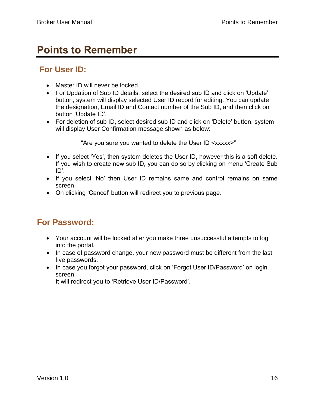### <span id="page-15-0"></span>**Points to Remember**

### **For User ID:**

- Master ID will never be locked.
- For Updation of Sub ID details, select the desired sub ID and click on 'Update' button, system will display selected User ID record for editing. You can update the designation, Email ID and Contact number of the Sub ID, and then click on button "Update ID".
- For deletion of sub ID, select desired sub ID and click on 'Delete' button, system will display User Confirmation message shown as below:

"Are you sure you wanted to delete the User ID <xxxxx>"

- If you select 'Yes', then system deletes the User ID, however this is a soft delete. If you wish to create new sub ID, you can do so by clicking on menu "Create Sub ID".
- If you select 'No' then User ID remains same and control remains on same screen.
- On clicking 'Cancel' button will redirect you to previous page.

### **For Password:**

- Your account will be locked after you make three unsuccessful attempts to log into the portal.
- In case of password change, your new password must be different from the last five passwords.
- In case you forgot your password, click on 'Forgot User ID/Password' on login screen.

It will redirect you to "Retrieve User ID/Password".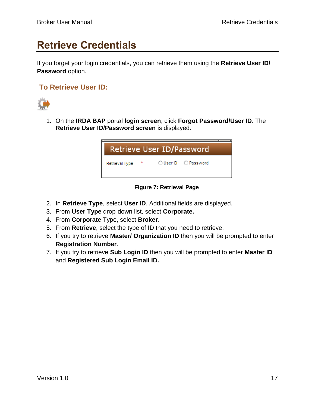# <span id="page-16-0"></span>**Retrieve Credentials**

If you forget your login credentials, you can retrieve them using the **Retrieve User ID/ Password** option.

#### <span id="page-16-1"></span>**To Retrieve User ID:**



1. On the **IRDA BAP** portal **login screen**, click **Forgot Password/User ID**. The **Retrieve User ID/Password screen** is displayed.

| Retrieve User ID/Password |   |  |                      |  |
|---------------------------|---|--|----------------------|--|
| Retrieval Type            | 案 |  | ◯ User ID ◯ Password |  |

#### **Figure 7: Retrieval Page**

- <span id="page-16-2"></span>2. In **Retrieve Type**, select **User ID**. Additional fields are displayed.
- 3. From **User Type** drop-down list, select **Corporate.**
- 4. From **Corporate** Type, select **Broker**.
- 5. From **Retrieve**, select the type of ID that you need to retrieve.
- 6. If you try to retrieve **Master/ Organization ID** then you will be prompted to enter **Registration Number**.
- 7. If you try to retrieve **Sub Login ID** then you will be prompted to enter **Master ID** and **Registered Sub Login Email ID.**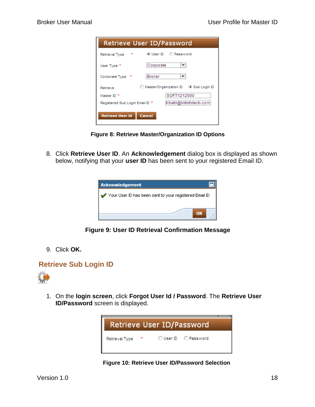| Retrieve User ID/Password       |                                          |  |  |
|---------------------------------|------------------------------------------|--|--|
| sk:<br>Retrieval Type           | ⊛ User ID —<br>O Password                |  |  |
| User Type *                     | Corporate<br>▼                           |  |  |
| 案<br>Corporate Type             | Broker                                   |  |  |
| Retrieve                        | O Master/Organization ID<br>Sub Login ID |  |  |
| Master ID *                     | SOFT1212000                              |  |  |
| Registered Sub Login Email ID * | Khatri@Intinfotech.com                   |  |  |
| Retrieve User Id<br>Cancel      |                                          |  |  |

**Figure 8: Retrieve Master/Organization ID Options**

<span id="page-17-0"></span>8. Click **Retrieve User ID**. An **Acknowledgement** dialog box is displayed as shown below, notifying that your **user ID** has been sent to your registered Email ID.



**Figure 9: User ID Retrieval Confirmation Message**

<span id="page-17-1"></span>9. Click **OK.**

#### **Retrieve Sub Login ID**



<span id="page-17-2"></span>1. On the **login screen**, click **Forgot User Id / Password**. The **Retrieve User ID/Password** screen is displayed.



**Figure 10: Retrieve User ID/Password Selection**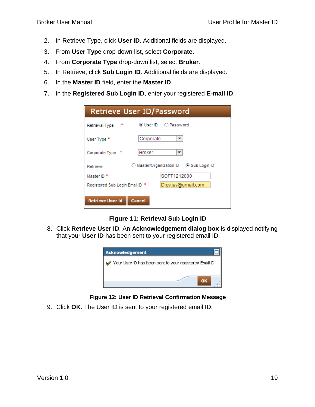- 2. In Retrieve Type, click **User ID**. Additional fields are displayed.
- 3. From **User Type** drop-down list, select **Corporate**.
- 4. From **Corporate Type** drop-down list, select **Broker**.
- 5. In Retrieve, click **Sub Login ID**. Additional fields are displayed.
- 6. In the **Master ID** field, enter the **Master ID**.
- 7. In the **Registered Sub Login ID**, enter your registered **E-mail ID**.

| Retrieve User ID/Password                             |               |             |
|-------------------------------------------------------|---------------|-------------|
| sk:<br>Retrieval Type                                 |               |             |
| User Type *                                           | Corporate     | ▼           |
| Corporate Type *                                      | <b>Broker</b> | ▼           |
| Retrieve                                              |               |             |
| Master ID <sup>*</sup>                                |               | SOFT1212000 |
| Digvijay@gmail.com<br>Registered Sub Login Email ID * |               |             |
|                                                       |               |             |
| <b>Retrieve User Id</b>                               | <b>Cancel</b> |             |

**Figure 11: Retrieval Sub Login ID**

<span id="page-18-0"></span>8. Click **Retrieve User ID**. An **Acknowledgement dialog box** is displayed notifying that your **User ID** has been sent to your registered email ID.



**Figure 12: User ID Retrieval Confirmation Message**

<span id="page-18-1"></span>9. Click **OK**. The User ID is sent to your registered email ID.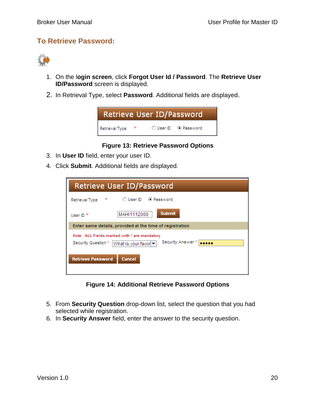#### **To Retrieve Password:**



- 1. On the l**ogin screen**, click **Forgot User Id / Password**. The **Retrieve User ID/Password** screen is displayed.
- 2. In Retrieval Type, select **Password**. Additional fields are displayed.



#### **Figure 13: Retrieve Password Options**

- <span id="page-19-0"></span>3. In **User ID** field, enter your user ID.
- 4. Click **Submit**. Additional fields are displayed.

| Retrieve User ID/Password                                                                                          |  |  |
|--------------------------------------------------------------------------------------------------------------------|--|--|
| 案<br>Retrieval Type                                                                                                |  |  |
| <b>Submit</b><br>MAHI1112000<br>User $ID$ <sup>*</sup>                                                             |  |  |
| Enter same details, provided at the time of registration                                                           |  |  |
| Note: ALL Fields marked with * are mandatory<br>Security Answer *<br>Security Question *<br> What is your favor  ▼ |  |  |
| <b>Retrieve Password</b><br><b>Cancel</b>                                                                          |  |  |

**Figure 14: Additional Retrieve Password Options**

- <span id="page-19-1"></span>5. From **Security Question** drop-down list, select the question that you had selected while registration.
- 6. In **Security Answer** field, enter the answer to the security question.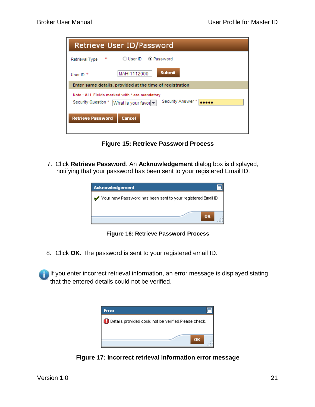| Retrieve User ID/Password                                                                                        |  |  |
|------------------------------------------------------------------------------------------------------------------|--|--|
| aje.<br>Retrieval Type                                                                                           |  |  |
| <b>Submit</b><br>MAHI1112000<br>User $ID$ <sup>*</sup>                                                           |  |  |
| Enter same details, provided at the time of registration                                                         |  |  |
| Note: ALL Fields marked with * are mandatory<br>Security Answer *<br>Security Question *<br>What is your favor ▼ |  |  |
| <b>Retrieve Password</b><br><b>Cancel</b>                                                                        |  |  |

**Figure 15: Retrieve Password Process**

<span id="page-20-0"></span>7. Click **Retrieve Password**. An **Acknowledgement** dialog box is displayed, notifying that your password has been sent to your registered Email ID.



**Figure 16: Retrieve Password Process**

<span id="page-20-1"></span>8. Click **OK.** The password is sent to your registered email ID.

If you enter incorrect retrieval information, an error message is displayed stating that the entered details could not be verified.

<span id="page-20-2"></span>

**Figure 17: Incorrect retrieval information error message**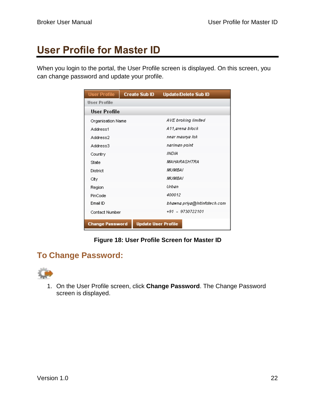# <span id="page-21-0"></span>**User Profile for Master ID**

When you login to the portal, the User Profile screen is displayed. On this screen, you can change password and update your profile.

| User Profile           | Create Sub ID              | <b>Update/Delete Sub ID</b>  |
|------------------------|----------------------------|------------------------------|
| User Profile           |                            |                              |
| User Profile           |                            |                              |
| Organisation Name      |                            | AVE broking limited          |
| Address1               |                            | A11,arena block              |
| Address2               |                            | near maurya lok              |
| Address3               |                            | nariman point                |
| Country                |                            | INDIA.                       |
| State                  |                            | MAHARASHTRA                  |
| District               |                            | <i>MUMBAT</i>                |
| City                   |                            | <i>MUMBAT</i>                |
| Region                 |                            | Urban                        |
| PinCode                |                            | 400012                       |
| Email ID               |                            | bhawna.priya@Intinfotech.com |
| Contact Number         |                            | +91 - 9730722101             |
| <b>Change Password</b> | <b>Update User Profile</b> |                              |

#### **Figure 18: User Profile Screen for Master ID**

### <span id="page-21-1"></span>**To Change Password:**



1. On the User Profile screen, click **Change Password**. The Change Password screen is displayed.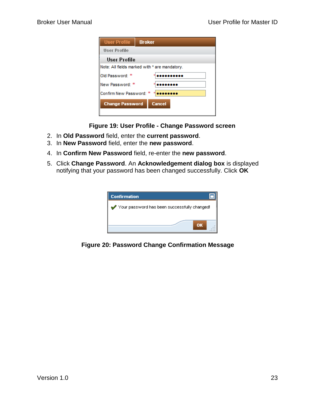| <b>User Profile</b>                           | <b>Broker</b> |  |
|-----------------------------------------------|---------------|--|
| User Profile                                  |               |  |
| User Profile                                  |               |  |
| Note: All fields marked with * are mandatory. |               |  |
| Old Password: *                               |               |  |
| New Password: *                               |               |  |
| Confirm New Password:                         |               |  |
| <b>Change Password</b><br><b>Cancel</b>       |               |  |

<span id="page-22-0"></span> **Figure 19: User Profile - Change Password screen**

- 2. In **Old Password** field, enter the **current password**.
- 3. In **New Password** field, enter the **new password**.
- 4. In **Confirm New Password** field, re-enter the **new password**.
- 5. Click **Change Password**. An **Acknowledgement dialog box** is displayed notifying that your password has been changed successfully. Click **OK**

| <b>Confirmation</b>                          |
|----------------------------------------------|
| Your password has been successfully changed! |
| OK                                           |
|                                              |

<span id="page-22-1"></span>**Figure 20: Password Change Confirmation Message**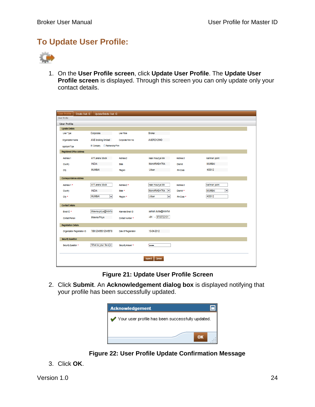### **To Update User Profile:**



1. On the **User Profile screen**, click **Update User Profile**. The **Update User Profile screen** is displayed. Through this screen you can only update only your contact details.

| User Profile<br>Create Sub ID | Update/Delete Sub ID                      |                      |                                                |                 |                                           |
|-------------------------------|-------------------------------------------|----------------------|------------------------------------------------|-----------------|-------------------------------------------|
| User Profile                  |                                           |                      |                                                |                 |                                           |
| User Profile                  |                                           |                      |                                                |                 |                                           |
| <b>Update Details</b>         |                                           |                      |                                                |                 |                                           |
| User Type:                    | Corporate                                 | <b>User Role</b>     | <b>Broker</b>                                  |                 |                                           |
|                               |                                           |                      |                                                |                 |                                           |
| <b>Organization Name</b>      | <b>AVE broking limited</b>                | Corporate PAN No     | AVERD1254D                                     |                 |                                           |
| Applicant Type                | C Company C Partnership Firm              |                      |                                                |                 |                                           |
| Registered Office Address     |                                           |                      |                                                |                 |                                           |
| Address 1                     | A11, arena block                          | Address 2            | near maurya lok                                | Address 3       | nariman point                             |
| Country                       | <b>INDIA</b>                              | <b>State</b>         | <b>MAHARASHTRA</b>                             | <b>District</b> | <b>MUMBAI</b>                             |
| City                          | <b>MUMBAL</b>                             | Region               | <b>Urban</b>                                   | Pin Code        | 400012                                    |
|                               |                                           |                      |                                                |                 |                                           |
| Correspondence Address        |                                           |                      |                                                |                 |                                           |
| Address 1 *                   | A11, arena block                          | Address 2 *          | near maurya lok                                | Address 3       | nariman point                             |
| Country                       | <b>INDIA</b>                              | State *              | <b>MAHARASHTRA</b><br>$\overline{\phantom{a}}$ | District *      | $\overline{\phantom{a}}$<br><b>MUMBAI</b> |
| City <sup>*</sup>             | <b>MUMBAI</b><br>$\overline{\phantom{a}}$ | Region *             | Urban<br>٠                                     | PIn Code *      | 400012                                    |
|                               |                                           |                      |                                                |                 |                                           |
| <b>Contact Details</b>        |                                           |                      |                                                |                 |                                           |
| Email ID <sup>*</sup>         | bhawna.priya@Intinfo                      | Alternate Email ID   | ashish.dutta@Intinfot                          |                 |                                           |
| Contact Person                | bhawna Priya                              | Contact Number *     | +91 - 9730722101                               |                 |                                           |
| <b>Registration Details</b>   |                                           |                      |                                                |                 |                                           |
|                               |                                           |                      |                                                |                 |                                           |
| Organization Registration ID  | 789123456012345678                        | Date Of Registration | 10-04-2012                                     |                 |                                           |
| Security Question             |                                           |                      |                                                |                 |                                           |
| Security Question *           | What is your favo -                       | Security Answer *    | <b>Seed</b>                                    |                 |                                           |
|                               |                                           |                      |                                                |                 |                                           |
|                               |                                           |                      |                                                |                 |                                           |
|                               |                                           |                      | <b>Submit</b><br>Cancel                        |                 |                                           |
|                               |                                           |                      |                                                |                 |                                           |

**Figure 21: Update User Profile Screen**

<span id="page-23-0"></span>2. Click **Submit**. An **Acknowledgement dialog box** is displayed notifying that your profile has been successfully updated.



 **Figure 22: User Profile Update Confirmation Message**

<span id="page-23-1"></span>3. Click **OK**.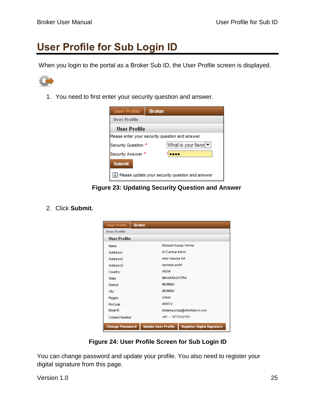### <span id="page-24-0"></span>**User Profile for Sub Login ID**

When you login to the portal as a Broker Sub ID, the User Profile screen is displayed.



1. You need to first enter your security question and answer.



**Figure 23: Updating Security Question and Answer**

<span id="page-24-1"></span>2. Click **Submit.**

| <b>User Profile</b>    | <b>Broker</b>                                                   |  |
|------------------------|-----------------------------------------------------------------|--|
| <b>User Profile</b>    |                                                                 |  |
| User Profile           |                                                                 |  |
| Name                   | Nishant Kumar Verma                                             |  |
| Address1               | A11,arena block                                                 |  |
| Address2               | near maurya lok                                                 |  |
| Address3               | nariman point                                                   |  |
| Country                | INDIA                                                           |  |
| State                  | <i><b>MAHARASHTRA</b></i>                                       |  |
| <b>District</b>        | MUMBAI                                                          |  |
| City                   | MUMBAI                                                          |  |
| Region                 | Urban                                                           |  |
| PinCode                | 400012                                                          |  |
| Ernail ID              | bhawna.priya@Intinfotech.com                                    |  |
| Contact Number         | +91 - 9773122101                                                |  |
| <b>Change Password</b> | <b>Update User Profile</b><br><b>Register Digital Signature</b> |  |

**Figure 24: User Profile Screen for Sub Login ID**

<span id="page-24-2"></span>You can change password and update your profile. You also need to register your digital signature from this page.

Version 1.0 25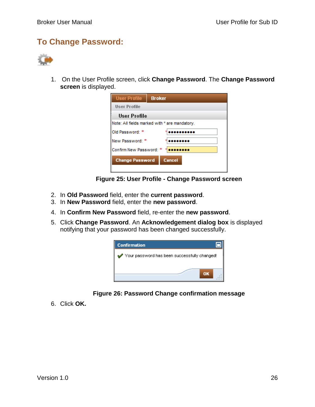### **To Change Password:**



1. On the User Profile screen, click **Change Password**. The **Change Password screen** is displayed.

| <b>User Profile</b>                     | <b>Broker</b>                                 |  |
|-----------------------------------------|-----------------------------------------------|--|
| <b>User Profile</b>                     |                                               |  |
| User Profile                            |                                               |  |
|                                         | Note: All fields marked with * are mandatory. |  |
| Old Password: *                         |                                               |  |
| New Password: *                         |                                               |  |
| Confirm New Password: *                 |                                               |  |
| <b>Change Password</b><br><b>Cancel</b> |                                               |  |
|                                         |                                               |  |

**Figure 25: User Profile - Change Password screen**

- <span id="page-25-0"></span>2. In **Old Password** field, enter the **current password**.
- 3. In **New Password** field, enter the **new password**.
- 4. In **Confirm New Password** field, re-enter the **new password**.
- 5. Click **Change Password**. An **Acknowledgement dialog box** is displayed notifying that your password has been changed successfully.



#### **Figure 26: Password Change confirmation message**

<span id="page-25-1"></span>6. Click **OK.**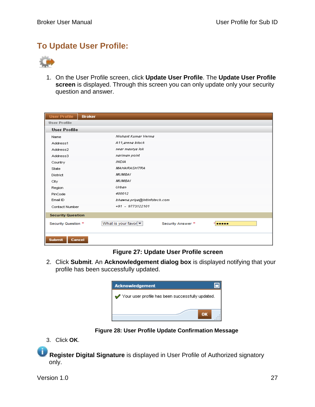### **To Update User Profile:**



1. On the User Profile screen, click **Update User Profile**. The **Update User Profile screen** is displayed. Through this screen you can only update only your security question and answer.

| <b>User Profile</b><br><b>Broker</b> |                                                                  |
|--------------------------------------|------------------------------------------------------------------|
| <b>User Profile</b>                  |                                                                  |
| <b>User Profile</b>                  |                                                                  |
| Name                                 | Nishant Kumar Verma                                              |
| Address1                             | A11, arena block                                                 |
| Address2                             | near maurya lok                                                  |
| Address3                             | nariman point                                                    |
| Country                              | <b>INDIA</b>                                                     |
| State                                | <b>MAHARASHTRA</b>                                               |
| District                             | MUMBAI                                                           |
| City                                 | MUMBAI                                                           |
| Region                               | Urban                                                            |
| PinCode                              | 400012                                                           |
| Email ID                             | bhawna.priya@Intinfotech.com                                     |
| Contact Number                       | $+91 - 9773122101$                                               |
| <b>Security Question</b>             |                                                                  |
| Security Question *                  | What is your favor $\blacktriangledown$<br>Security Answer *<br> |
| <b>Cancel</b><br><b>Submit</b>       |                                                                  |

#### **Figure 27: Update User Profile screen**

<span id="page-26-0"></span>2. Click **Submit**. An **Acknowledgement dialog box** is displayed notifying that your profile has been successfully updated.



**Figure 28: User Profile Update Confirmation Message**

<span id="page-26-1"></span>3. Click **OK**.

í. **Register Digital Signature** is displayed in User Profile of Authorized signatory only.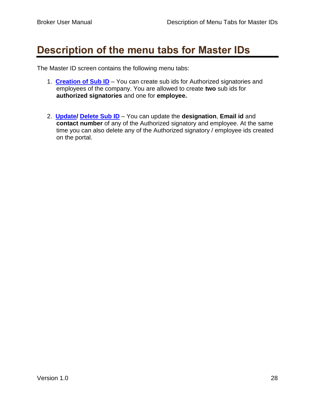### <span id="page-27-0"></span>**Description of the menu tabs for Master IDs**

The Master ID screen contains the following menu tabs:

- 1. **Creation [of Sub ID](#page-29-0)** You can create sub ids for Authorized signatories and employees of the company. You are allowed to create **two** sub ids for **authorized signatories** and one for **employee.**
- 2. **[Update/](#page-31-0) [Delete Sub ID](#page-34-0)** You can update the **designation**, **Email id** and **contact number** of any of the Authorized signatory and employee. At the same time you can also delete any of the Authorized signatory / employee ids created on the portal.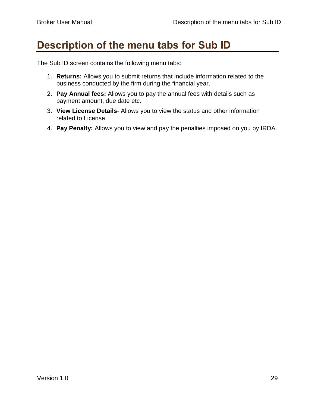### <span id="page-28-0"></span>**Description of the menu tabs for Sub ID**

The Sub ID screen contains the following menu tabs:

- 1. **Returns:** Allows you to submit returns that include information related to the business conducted by the firm during the financial year.
- 2. **Pay Annual fees:** Allows you to pay the annual fees with details such as payment amount, due date etc.
- 3. **View License Details** Allows you to view the status and other information related to License.
- 4. **Pay Penalty:** Allows you to view and pay the penalties imposed on you by IRDA.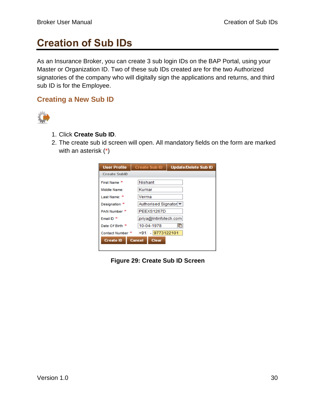## <span id="page-29-0"></span>**Creation of Sub IDs**

As an Insurance Broker, you can create 3 sub login IDs on the BAP Portal, using your Master or Organization ID. Two of these sub IDs created are for the two Authorized signatories of the company who will digitally sign the applications and returns, and third sub ID is for the Employee.

#### **Creating a New Sub ID**



- 1. Click **Create Sub ID**.
- 2. The create sub id screen will open. All mandatory fields on the form are marked with an asterisk (\*)

| <b>User Profile</b>                               | <b>Create Sub ID</b>   | <b>Update/Delete Sub ID</b> |
|---------------------------------------------------|------------------------|-----------------------------|
| <b>Create SubID</b>                               |                        |                             |
| First Name *                                      | <b>Nishant</b>         |                             |
| Middle Name:                                      | Kumar                  |                             |
| Last Name: *                                      | Verma                  |                             |
| Designation *                                     | Authorised Signator ▼  |                             |
| PAN Number *                                      | PEEXS1267D             |                             |
| Fmail ID                                          | .priya@Intinfotech.com |                             |
| Date Of Birth *                                   | 10-04-1978             | 晌                           |
| Contact Number *                                  | 9773122101<br>$+91$    |                             |
| <b>Create ID</b><br><b>Cancel</b><br><b>Clear</b> |                        |                             |
|                                                   |                        |                             |

<span id="page-29-1"></span>**Figure 29: Create Sub ID Screen**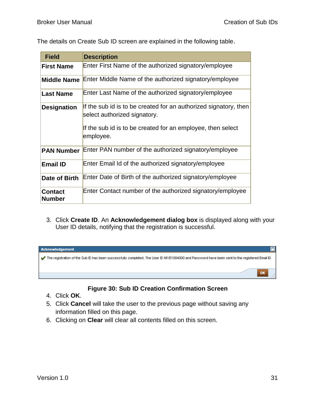| <b>Field</b>                    | <b>Description</b>                                                                               |
|---------------------------------|--------------------------------------------------------------------------------------------------|
| <b>First Name</b>               | Enter First Name of the authorized signatory/employee                                            |
| <b>Middle Name</b>              | Enter Middle Name of the authorized signatory/employee                                           |
| <b>Last Name</b>                | Enter Last Name of the authorized signatory/employee                                             |
| <b>Designation</b>              | If the sub id is to be created for an authorized signatory, then<br>select authorized signatory. |
|                                 | If the sub id is to be created for an employee, then select<br>employee.                         |
| <b>PAN Number</b>               | Enter PAN number of the authorized signatory/employee                                            |
| <b>Email ID</b>                 | Enter Email Id of the authorized signatory/employee                                              |
| Date of Birth                   | Enter Date of Birth of the authorized signatory/employee                                         |
| <b>Contact</b><br><b>Number</b> | Enter Contact number of the authorized signatory/employee                                        |

The details on Create Sub ID screen are explained in the following table.

3. Click **Create ID**. An **Acknowledgement dialog box** is displayed along with your User ID details, notifying that the registration is successful.



#### **Figure 30: Sub ID Creation Confirmation Screen**

- <span id="page-30-0"></span>4. Click **OK**.
- 5. Click **Cancel** will take the user to the previous page without saving any information filled on this page.
- 6. Clicking on **Clear** will clear all contents filled on this screen.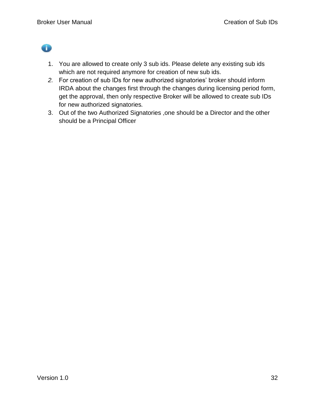O

- 1. You are allowed to create only 3 sub ids. Please delete any existing sub ids which are not required anymore for creation of new sub ids.
- *2.* For creation of sub IDs for new authorized signatories" broker should inform IRDA about the changes first through the changes during licensing period form, get the approval, then only respective Broker will be allowed to create sub IDs for new authorized signatories*.*
- <span id="page-31-0"></span>3. Out of the two Authorized Signatories ,one should be a Director and the other should be a Principal Officer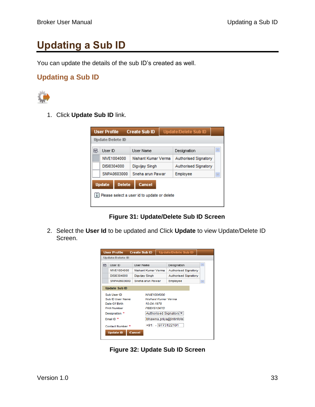# <span id="page-32-0"></span>**Updating a Sub ID**

You can update the details of the sub ID"s created as well.

#### **Updating a Sub ID**



1. Click **Update Sub ID** link.

| <b>User Profile</b>                                                                       |                  |  | <b>Create Sub ID</b> | <b>Update/Delete Sub ID</b> |                      |          |  |  |
|-------------------------------------------------------------------------------------------|------------------|--|----------------------|-----------------------------|----------------------|----------|--|--|
|                                                                                           | Update/Delete ID |  |                      |                             |                      |          |  |  |
| 昆                                                                                         | <b>Liser ID</b>  |  | User Name            |                             | Designation          | <b>A</b> |  |  |
|                                                                                           | NIVE1004000      |  | Nishant Kumar Verma  |                             | Authorised Signatory |          |  |  |
|                                                                                           | DISI0304000      |  | Digvijay Singh       |                             | Authorised Signatory |          |  |  |
|                                                                                           | SNPA0603000      |  | Sneha arun Pawar     |                             | Employee             |          |  |  |
| Cancel<br><b>Delete</b><br><b>Update</b><br>i Please select a user id to update or delete |                  |  |                      |                             |                      |          |  |  |

**Figure 31: Update/Delete Sub ID Screen**

<span id="page-32-1"></span>2. Select the **User Id** to be updated and Click **Update** to view Update/Delete ID Screen.

|                                                                                                                                                         | <b>Update/Delete ID</b> |                                                                                                                           |   |  |  |  |  |  |
|---------------------------------------------------------------------------------------------------------------------------------------------------------|-------------------------|---------------------------------------------------------------------------------------------------------------------------|---|--|--|--|--|--|
| Liser ID<br>昆                                                                                                                                           | <b>Liser Name</b>       | Designation                                                                                                               | × |  |  |  |  |  |
| NIVE1004000                                                                                                                                             | Nishant Kumar Verma     | Authorised Signatory                                                                                                      |   |  |  |  |  |  |
| DISI0304000                                                                                                                                             | Digvijay Singh          | Authorised Signatory                                                                                                      |   |  |  |  |  |  |
| SNPA0603000                                                                                                                                             | Sneha arun Pawar        | Employee                                                                                                                  | × |  |  |  |  |  |
| <b>Update Sub ID</b>                                                                                                                                    |                         |                                                                                                                           |   |  |  |  |  |  |
| Sub User ID<br>Sub ID User Name<br>Date Of Birth<br><b>PAN Number</b><br>Designation *<br>Fmail ID <sup>*</sup><br>Contact Number *<br><b>Update ID</b> | 10-04-1978<br>Cancel    | NIVE1004000<br>Nishant Kumar Verma<br>PEEXS1267D<br>Authorised Signatory  ▼<br>bhawna.priya@Intinfote<br>+91 - 9773122101 |   |  |  |  |  |  |

<span id="page-32-2"></span>**Figure 32: Update Sub ID Screen**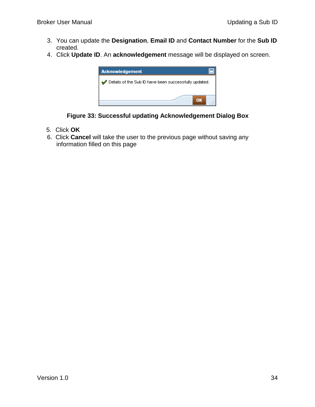- 3. You can update the **Designation**, **Email ID** and **Contact Number** for the **Sub ID** created.
- 4. Click **Update ID**. An **acknowledgement** message will be displayed on screen.





- <span id="page-33-0"></span>5. Click **OK**
- 6. Click **Cancel** will take the user to the previous page without saving any information filled on this page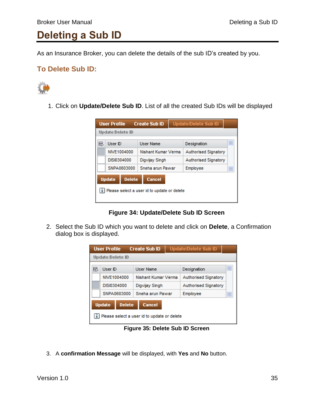### <span id="page-34-0"></span>**Deleting a Sub ID**

As an Insurance Broker, you can delete the details of the sub ID"s created by you.

#### **To Delete Sub ID:**



1. Click on **Update/Delete Sub ID**. List of all the created Sub IDs will be displayed

| <b>User Profile</b>                           |                                |  | <b>Create Sub ID</b><br>Update/Delete Sub ID |  |                      |  |  |  |
|-----------------------------------------------|--------------------------------|--|----------------------------------------------|--|----------------------|--|--|--|
|                                               | Update/Delete ID               |  |                                              |  |                      |  |  |  |
| в                                             | User ID                        |  | <b>User Name</b>                             |  | Designation          |  |  |  |
|                                               | NIVE1004000                    |  | Nishant Kumar Verma                          |  | Authorised Signatory |  |  |  |
|                                               | DISI0304000                    |  | Digvijay Singh                               |  | Authorised Signatory |  |  |  |
|                                               | SNPA0603000                    |  | Sneha arun Pawar                             |  | Employee             |  |  |  |
|                                               | <b>Update</b><br><b>Delete</b> |  | Cancel                                       |  |                      |  |  |  |
| i Please select a user id to update or delete |                                |  |                                              |  |                      |  |  |  |

**Figure 34: Update/Delete Sub ID Screen**

<span id="page-34-1"></span>2. Select the Sub ID which you want to delete and click on **Delete**, a Confirmation dialog box is displayed.

| <b>User Profile</b>                           |                                |  | <b>Create Sub ID</b> | <b>Update/Delete Sub ID</b> |                      |  |  |
|-----------------------------------------------|--------------------------------|--|----------------------|-----------------------------|----------------------|--|--|
| Update/Delete ID                              |                                |  |                      |                             |                      |  |  |
| 昆                                             | User ID                        |  | User Name            |                             | Designation          |  |  |
|                                               | NIVE1004000                    |  | Nishant Kumar Verma  |                             | Authorised Signatory |  |  |
|                                               | DISI0304000                    |  | Digvijay Singh       |                             | Authorised Signatory |  |  |
|                                               | SNPA0603000                    |  | Sneha arun Pawar     |                             | Employee             |  |  |
|                                               | <b>Update</b><br><b>Delete</b> |  | Cancel               |                             |                      |  |  |
| i Please select a user id to update or delete |                                |  |                      |                             |                      |  |  |

**Figure 35: Delete Sub ID Screen**

<span id="page-34-2"></span>3. A **confirmation Message** will be displayed, with **Yes** and **No** button.